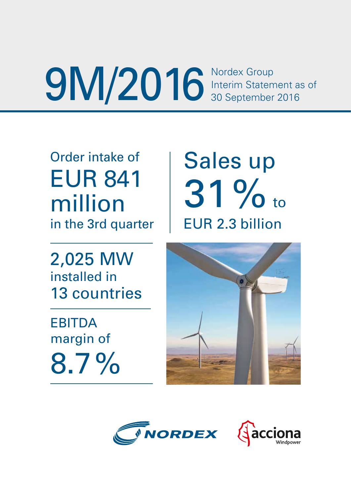**9M/2016** Nordex Group<br>30 September 2016

Order intake of EUR 841 million in the 3rd quarter

2,025 MW installed in 13 countries

**EBITDA** margin of 8.7% Sales up 31% to EUR 2.3 billion



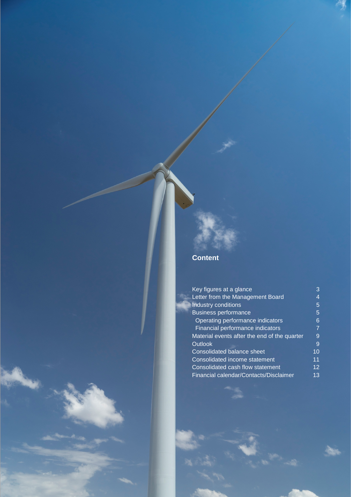# **Content**

| Key figures at a glance                      | 3  |
|----------------------------------------------|----|
| Letter from the Management Board             |    |
| Industry conditions                          | 5  |
| <b>Business performance</b>                  | 5  |
| Operating performance indicators             | 6  |
| Financial performance indicators             | 7  |
| Material events after the end of the quarter | 9  |
| <b>Outlook</b>                               | 9  |
| Consolidated balance sheet                   | 10 |
| Consolidated income statement                | 11 |
| Consolidated cash flow statement             | 12 |
| Financial calendar/Contacts/Disclaimer       | 13 |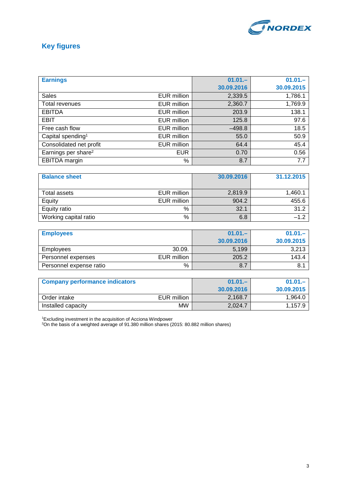

# **Key figures**

|                                 |             | $01.01 -$  | $01.01 -$  |
|---------------------------------|-------------|------------|------------|
| <b>Earnings</b>                 |             |            |            |
|                                 |             | 30.09.2016 | 30.09.2015 |
| <b>Sales</b>                    | EUR million | 2,339.5    | 1,786.1    |
| Total revenues                  | EUR million | 2,360.7    | 1,769.9    |
| <b>EBITDA</b>                   | EUR million | 203.9      | 138.1      |
| EBIT                            | EUR million | 125.8      | 97.6       |
| Free cash flow                  | EUR million | $-498.8$   | 18.5       |
| Capital spending <sup>1</sup>   | EUR million | 55.0       | 50.9       |
| Consolidated net profit         | EUR million | 64.4       | 45.4       |
| Earnings per share <sup>2</sup> | <b>EUR</b>  | 0.70       | 0.56       |
| <b>EBITDA</b> margin            | %           | 8.7        | 7.7        |

| <b>Balance sheet</b>  |             | 30.09.2016 | 31.12.2015 |
|-----------------------|-------------|------------|------------|
| Total assets          | EUR million | 2,819.9    | 1,460.1    |
| Equity                | EUR million | 904.2      | 455.6      |
| Equity ratio          | $\%$        | 32.1       | 31.2       |
| Working capital ratio | $\%$        | 6.8        | $-1.2$     |

| <b>Employees</b>        |             | $01.01 -$  | $01.01 -$  |
|-------------------------|-------------|------------|------------|
|                         |             | 30.09.2016 | 30.09.2015 |
| <b>Employees</b>        | 30.09.      | 5,199      | 3.213      |
| Personnel expenses      | EUR million | 205.2      | 143.4      |
| Personnel expense ratio | %           | 8.7        | 8.1        |

| <b>Company performance indicators</b> |             | $01.01 -$  | $01.01 -$  |
|---------------------------------------|-------------|------------|------------|
|                                       |             | 30.09.2016 | 30.09.2015 |
| Order intake                          | EUR million | 2,168.7    | 1.964.0    |
| Installed capacity                    | <b>MW</b>   | 2,024.7    | 1.157.9    |

1 Excluding investment in the acquisition of Acciona Windpower 2 On the basis of a weighted average of 91.380 million shares (2015: 80.882 million shares)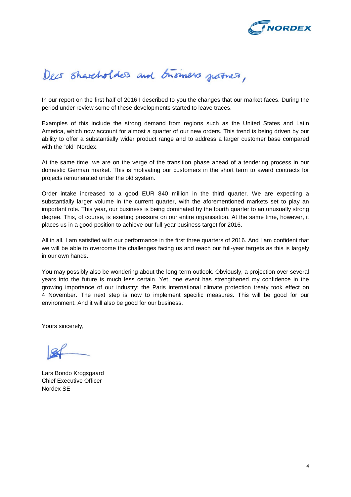

# Decs Shareholders and business justices,

In our report on the first half of 2016 I described to you the changes that our market faces. During the period under review some of these developments started to leave traces.

Examples of this include the strong demand from regions such as the United States and Latin America, which now account for almost a quarter of our new orders. This trend is being driven by our ability to offer a substantially wider product range and to address a larger customer base compared with the "old" Nordex.

At the same time, we are on the verge of the transition phase ahead of a tendering process in our domestic German market. This is motivating our customers in the short term to award contracts for projects remunerated under the old system.

Order intake increased to a good EUR 840 million in the third quarter. We are expecting a substantially larger volume in the current quarter, with the aforementioned markets set to play an important role. This year, our business is being dominated by the fourth quarter to an unusually strong degree. This, of course, is exerting pressure on our entire organisation. At the same time, however, it places us in a good position to achieve our full-year business target for 2016.

All in all, I am satisfied with our performance in the first three quarters of 2016. And I am confident that we will be able to overcome the challenges facing us and reach our full-year targets as this is largely in our own hands.

You may possibly also be wondering about the long-term outlook. Obviously, a projection over several years into the future is much less certain. Yet, one event has strengthened my confidence in the growing importance of our industry: the Paris international climate protection treaty took effect on 4 November. The next step is now to implement specific measures. This will be good for our environment. And it will also be good for our business.

Yours sincerely,

Lars Bondo Krogsgaard Chief Executive Officer Nordex SE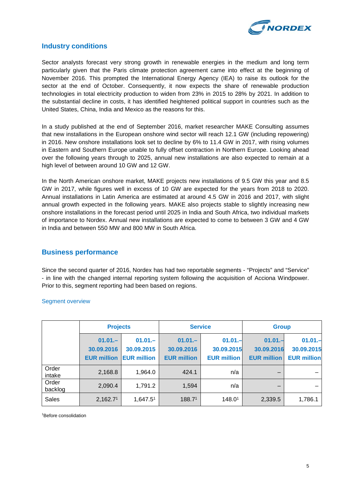

#### **Industry conditions**

Sector analysts forecast very strong growth in renewable energies in the medium and long term particularly given that the Paris climate protection agreement came into effect at the beginning of November 2016. This prompted the International Energy Agency (IEA) to raise its outlook for the sector at the end of October. Consequently, it now expects the share of renewable production technologies in total electricity production to widen from 23% in 2015 to 28% by 2021. In addition to the substantial decline in costs, it has identified heightened political support in countries such as the United States, China, India and Mexico as the reasons for this.

In a study published at the end of September 2016, market researcher MAKE Consulting assumes that new installations in the European onshore wind sector will reach 12.1 GW (including repowering) in 2016. New onshore installations look set to decline by 6% to 11.4 GW in 2017, with rising volumes in Eastern and Southern Europe unable to fully offset contraction in Northern Europe. Looking ahead over the following years through to 2025, annual new installations are also expected to remain at a high level of between around 10 GW and 12 GW.

In the North American onshore market, MAKE projects new installations of 9.5 GW this year and 8.5 GW in 2017, while figures well in excess of 10 GW are expected for the years from 2018 to 2020. Annual installations in Latin America are estimated at around 4.5 GW in 2016 and 2017, with slight annual growth expected in the following years. MAKE also projects stable to slightly increasing new onshore installations in the forecast period until 2025 in India and South Africa, two individual markets of importance to Nordex. Annual new installations are expected to come to between 3 GW and 4 GW in India and between 550 MW and 800 MW in South Africa.

#### **Business performance**

Since the second quarter of 2016, Nordex has had two reportable segments - "Projects" and "Service" - in line with the changed internal reporting system following the acquisition of Acciona Windpower. Prior to this, segment reporting had been based on regions.

#### Segment overview

|                  | <b>Projects</b>    |                    | <b>Service</b>     |                    | <b>Group</b>       |                    |
|------------------|--------------------|--------------------|--------------------|--------------------|--------------------|--------------------|
|                  | $01.01 -$          | $01.01 -$          | $01.01 -$          | $01.01 -$          | $01.01 -$          | $01.01 -$          |
|                  | 30.09.2016         | 30.09.2015         | 30.09.2016         | 30.09.2015         | 30.09.2016         | 30.09.2015         |
|                  | <b>EUR million</b> | <b>EUR million</b> | <b>EUR million</b> | <b>EUR million</b> | <b>EUR million</b> | <b>EUR million</b> |
| Order<br>intake  | 2,168.8            | 1,964.0            | 424.1              | n/a                |                    |                    |
| Order<br>backlog | 2,090.4            | 1,791.2            | 1,594              | n/a                |                    |                    |
| Sales            | 2,162.71           | 1,647.51           | 188.71             | 148.01             | 2,339.5            | 1,786.1            |

1 Before consolidation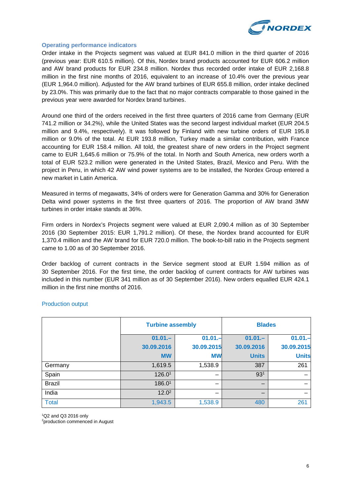

#### **Operating performance indicators**

Order intake in the Projects segment was valued at EUR 841.0 million in the third quarter of 2016 (previous year: EUR 610.5 million). Of this, Nordex brand products accounted for EUR 606.2 million and AW brand products for EUR 234.8 million. Nordex thus recorded order intake of EUR 2,168.8 million in the first nine months of 2016, equivalent to an increase of 10.4% over the previous year (EUR 1,964.0 million). Adjusted for the AW brand turbines of EUR 655.8 million, order intake declined by 23.0%. This was primarily due to the fact that no major contracts comparable to those gained in the previous year were awarded for Nordex brand turbines.

Around one third of the orders received in the first three quarters of 2016 came from Germany (EUR 741.2 million or 34.2%), while the United States was the second largest individual market (EUR 204.5 million and 9.4%, respectively). It was followed by Finland with new turbine orders of EUR 195.8 million or 9.0% of the total. At EUR 193.8 million, Turkey made a similar contribution, with France accounting for EUR 158.4 million. All told, the greatest share of new orders in the Project segment came to EUR 1,645.6 million or 75.9% of the total. In North and South America, new orders worth a total of EUR 523.2 million were generated in the United States, Brazil, Mexico and Peru. With the project in Peru, in which 42 AW wind power systems are to be installed, the Nordex Group entered a new market in Latin America.

Measured in terms of megawatts, 34% of orders were for Generation Gamma and 30% for Generation Delta wind power systems in the first three quarters of 2016. The proportion of AW brand 3MW turbines in order intake stands at 36%.

Firm orders in Nordex's Projects segment were valued at EUR 2,090.4 million as of 30 September 2016 (30 September 2015: EUR 1,791.2 million). Of these, the Nordex brand accounted for EUR 1,370.4 million and the AW brand for EUR 720.0 million. The book-to-bill ratio in the Projects segment came to 1.00 as of 30 September 2016.

Order backlog of current contracts in the Service segment stood at EUR 1.594 million as of 30 September 2016. For the first time, the order backlog of current contracts for AW turbines was included in this number (EUR 341 million as of 30 September 2016). New orders equalled EUR 424.1 million in the first nine months of 2016.

|               | <b>Turbine assembly</b> |            | <b>Blades</b>   |              |
|---------------|-------------------------|------------|-----------------|--------------|
|               | $01.01 -$               | $01.01 -$  | $01.01 -$       | $01.01 -$    |
|               | 30.09.2016              | 30.09.2015 | 30.09.2016      | 30.09.2015   |
|               | <b>MW</b>               | <b>MW</b>  | <b>Units</b>    | <b>Units</b> |
| Germany       | 1,619.5                 | 1,538.9    | 387             | 261          |
| Spain         | 126.01                  | -          | 93 <sup>1</sup> |              |
| <b>Brazil</b> | 186.01                  |            |                 |              |
| India         | 12.0 <sup>2</sup>       |            | –               |              |
| <b>Total</b>  | 1,943.5                 | 1,538.9    | 480             | 261          |

#### Production output

1 Q2 and Q3 2016 only

<sup>2</sup>production commenced in August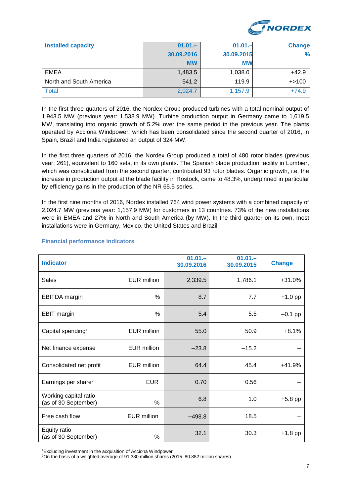

| <b>Installed capacity</b> | $01.01 -$  | $01.01 -$  | <b>Change</b> |
|---------------------------|------------|------------|---------------|
|                           | 30.09.2016 | 30.09.2015 | %             |
|                           | <b>MW</b>  | <b>MW</b>  |               |
| EMEA                      | 1,483.5    | 1,038.0    | $+42.9$       |
| North and South America   | 541.2      | 119.9      | $+ > 100$     |
| <b>Total</b>              | 2,024.7    | 1,157.9    | $+74.9$       |

In the first three quarters of 2016, the Nordex Group produced turbines with a total nominal output of 1,943.5 MW (previous year: 1,538.9 MW). Turbine production output in Germany came to 1,619.5 MW, translating into organic growth of 5.2% over the same period in the previous year. The plants operated by Acciona Windpower, which has been consolidated since the second quarter of 2016, in Spain, Brazil and India registered an output of 324 MW.

In the first three quarters of 2016, the Nordex Group produced a total of 480 rotor blades (previous year: 261), equivalent to 160 sets, in its own plants. The Spanish blade production facility in Lumbier, which was consolidated from the second quarter, contributed 93 rotor blades. Organic growth, i.e. the increase in production output at the blade facility in Rostock, came to 48.3%, underpinned in particular by efficiency gains in the production of the NR 65.5 series.

In the first nine months of 2016, Nordex installed 764 wind power systems with a combined capacity of 2,024.7 MW (previous year: 1,157.9 MW) for customers in 13 countries. 73% of the new installations were in EMEA and 27% in North and South America (by MW). In the third quarter on its own, most installations were in Germany, Mexico, the United States and Brazil.

| <b>Indicator</b>                              |                    | $01.01 -$<br>30.09.2016 | $01.01 -$<br>30.09.2015 | <b>Change</b> |
|-----------------------------------------------|--------------------|-------------------------|-------------------------|---------------|
| Sales                                         | <b>EUR million</b> | 2,339.5                 | 1,786.1                 | $+31.0%$      |
| <b>EBITDA</b> margin                          | %                  | 8.7                     | 7.7                     | $+1.0$ pp     |
| <b>EBIT</b> margin                            | $\frac{0}{0}$      | 5.4                     | 5.5                     | $-0.1$ pp     |
| Capital spending <sup>1</sup>                 | <b>EUR million</b> | 55.0                    | 50.9                    | $+8.1%$       |
| Net finance expense                           | EUR million        | $-23.8$                 | $-15.2$                 |               |
| Consolidated net profit                       | EUR million        | 64.4                    | 45.4                    | $+41.9%$      |
| Earnings per share <sup>2</sup>               | <b>EUR</b>         | 0.70                    | 0.56                    |               |
| Working capital ratio<br>(as of 30 September) | %                  | 6.8                     | 1.0                     | $+5.8$ pp     |
| Free cash flow                                | <b>EUR million</b> | $-498.8$                | 18.5                    |               |
| Equity ratio<br>(as of 30 September)          | %                  | 32.1                    | 30.3                    | $+1.8$ pp     |

#### **Financial performance indicators**

1 Excluding investment in the acquisition of Acciona Windpower

2 On the basis of a weighted average of 91.380 million shares (2015: 80.882 million shares)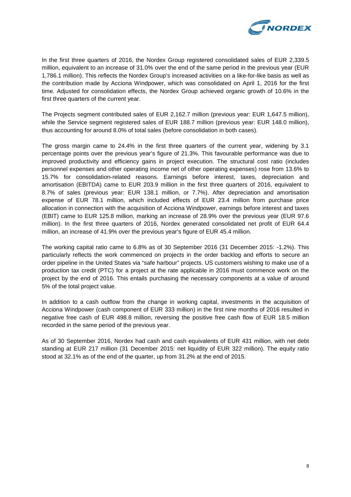

In the first three quarters of 2016, the Nordex Group registered consolidated sales of EUR 2,339.5 million, equivalent to an increase of 31.0% over the end of the same period in the previous year (EUR 1,786.1 million). This reflects the Nordex Group's increased activities on a like-for-like basis as well as the contribution made by Acciona Windpower, which was consolidated on April 1, 2016 for the first time. Adjusted for consolidation effects, the Nordex Group achieved organic growth of 10.6% in the first three quarters of the current year.

The Projects segment contributed sales of EUR 2,162.7 million (previous year: EUR 1,647.5 million), while the Service segment registered sales of EUR 188.7 million (previous year: EUR 148.0 million), thus accounting for around 8.0% of total sales (before consolidation in both cases).

The gross margin came to 24.4% in the first three quarters of the current year, widening by 3.1 percentage points over the previous year's figure of 21.3%. This favourable performance was due to improved productivity and efficiency gains in project execution. The structural cost ratio (includes personnel expenses and other operating income net of other operating expenses) rose from 13.6% to 15.7% for consolidation-related reasons. Earnings before interest, taxes, depreciation and amortisation (EBITDA) came to EUR 203.9 million in the first three quarters of 2016, equivalent to 8.7% of sales (previous year: EUR 138.1 million, or 7.7%). After depreciation and amortisation expense of EUR 78.1 million, which included effects of EUR 23.4 million from purchase price allocation in connection with the acquisition of Acciona Windpower, earnings before interest and taxes (EBIT) came to EUR 125.8 million, marking an increase of 28.9% over the previous year (EUR 97.6 million). In the first three quarters of 2016, Nordex generated consolidated net profit of EUR 64.4 million, an increase of 41.9% over the previous year's figure of EUR 45.4 million.

The working capital ratio came to 6.8% as of 30 September 2016 (31 December 2015: -1.2%). This particularly reflects the work commenced on projects in the order backlog and efforts to secure an order pipeline in the United States via "safe harbour" projects. US customers wishing to make use of a production tax credit (PTC) for a project at the rate applicable in 2016 must commence work on the project by the end of 2016. This entails purchasing the necessary components at a value of around 5% of the total project value.

In addition to a cash outflow from the change in working capital, investments in the acquisition of Acciona Windpower (cash component of EUR 333 million) in the first nine months of 2016 resulted in negative free cash of EUR 498.8 million, reversing the positive free cash flow of EUR 18.5 million recorded in the same period of the previous year.

As of 30 September 2016, Nordex had cash and cash equivalents of EUR 431 million, with net debt standing at EUR 217 million (31 December 2015: net liquidity of EUR 322 million). The equity ratio stood at 32.1% as of the end of the quarter, up from 31.2% at the end of 2015.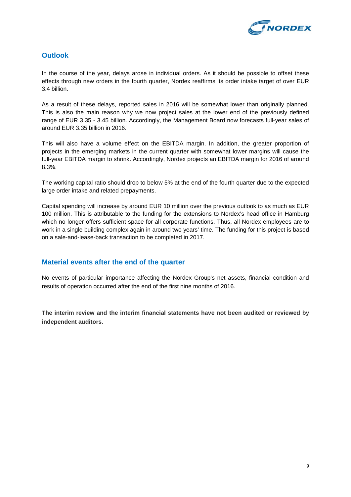

#### **Outlook**

In the course of the year, delays arose in individual orders. As it should be possible to offset these effects through new orders in the fourth quarter, Nordex reaffirms its order intake target of over EUR 3.4 billion.

As a result of these delays, reported sales in 2016 will be somewhat lower than originally planned. This is also the main reason why we now project sales at the lower end of the previously defined range of EUR 3.35 - 3.45 billion. Accordingly, the Management Board now forecasts full-year sales of around EUR 3.35 billion in 2016.

This will also have a volume effect on the EBITDA margin. In addition, the greater proportion of projects in the emerging markets in the current quarter with somewhat lower margins will cause the full-year EBITDA margin to shrink. Accordingly, Nordex projects an EBITDA margin for 2016 of around 8.3%.

The working capital ratio should drop to below 5% at the end of the fourth quarter due to the expected large order intake and related prepayments.

Capital spending will increase by around EUR 10 million over the previous outlook to as much as EUR 100 million. This is attributable to the funding for the extensions to Nordex's head office in Hamburg which no longer offers sufficient space for all corporate functions. Thus, all Nordex employees are to work in a single building complex again in around two years' time. The funding for this project is based on a sale-and-lease-back transaction to be completed in 2017.

#### **Material events after the end of the quarter**

No events of particular importance affecting the Nordex Group's net assets, financial condition and results of operation occurred after the end of the first nine months of 2016.

**The interim review and the interim financial statements have not been audited or reviewed by independent auditors.**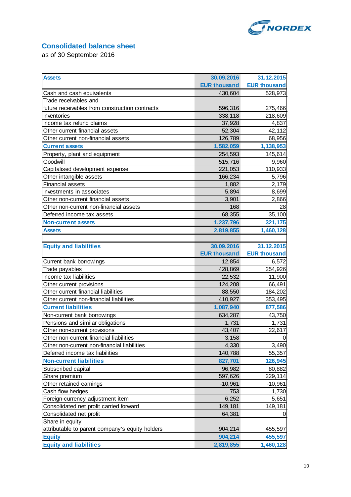

## **Consolidated balance sheet**

as of 30 September 2016

| <b>Assets</b>                                   | 30.09.2016          | 31.12.2015          |
|-------------------------------------------------|---------------------|---------------------|
|                                                 | <b>EUR thousand</b> | <b>EUR thousand</b> |
| Cash and cash equivalents                       | 430,604             | 528,973             |
| Trade receivables and                           |                     |                     |
| future receivables from construction contracts  | 596,316             | 275,466             |
| Inventories                                     | 338,118             | 218,609             |
| Income tax refund claims                        | 37,928              | 4,837               |
| Other current financial assets                  | 52,304              | 42,112              |
| Other current non-financial assets              | 126,789             | 68,956              |
| <b>Current assets</b>                           | 1,582,059           | 1,138,953           |
| Property, plant and equipment                   | 254,593             | 145,614             |
| Goodwill                                        | 515,716             | 9,960               |
| Capitalised development expense                 | 221,053             | 110,933             |
| Other intangible assets                         | 166,234             | 5,796               |
| <b>Financial assets</b>                         | 1,882               | 2,179               |
| Investments in associates                       | 5,894               | 8,699               |
| Other non-current financial assets              | 3,901               | 2,866               |
| Other non-current non-financial assets          | 168                 | 28                  |
| Deferred income tax assets                      | 68,355              | 35,100              |
| <b>Non-current assets</b>                       | 1,237,796           | 321,175             |
| <b>Assets</b>                                   | 2,819,855           | 1,460,128           |
|                                                 |                     |                     |
| <b>Equity and liabilities</b>                   | 30.09.2016          | 31.12.2015          |
|                                                 | <b>EUR thousand</b> | <b>EUR thousand</b> |
| Current bank borrowings                         | 12,854              | 6,572               |
| Trade payables                                  | 428,869             | 254,926             |
| Income tax liabilities                          | 22,532              | 11,900              |
| Other current provisions                        | 124,208             | 66,491              |
| Other current financial liabilities             | 88,550              | 184,202             |
| Other current non-financial liabilities         | 410,927             | 353,495             |
| <b>Current liabilities</b>                      | 1,087,940           | 877,586             |
| Non-current bank borrowings                     | 634,287             | 43,750              |
| Pensions and similar obligations                | 1,731               | 1,731               |
| Other non-current provisions                    | 43,407              | 22,617              |
| Other non-current financial liabilities         | 3,158               |                     |
| Other non-current non-financial liabilities     | 4,330               | 3,490               |
| Deferred income tax liabilities                 | 140,788             | 55,357              |
| <b>Non-current liabilities</b>                  | 827,701             | 126,945             |
| Subscribed capital                              | 96,982              | 80,882              |
| Share premium                                   | 597,626             | 229,114             |
| Other retained earnings                         | $-10,961$           | $-10,961$           |
| Cash flow hedges                                | 753                 | 1,730               |
| Foreign-currency adjustment item                | 6,252               | 5,651               |
| Consolidated net profit carried forward         | 149,181             | 149,181             |
| Consolidated net profit                         | 64,381              | 0                   |
| Share in equity                                 |                     |                     |
| attributable to parent company's equity holders | 904,214             | 455,597             |
| <b>Equity</b>                                   | 904,214             | 455,597             |
| <b>Equity and liabilities</b>                   | 2,819,855           | 1,460,128           |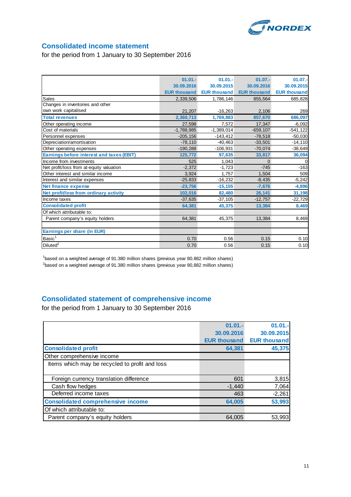

#### **Consolidated income statement**

for the period from 1 January to 30 September 2016

|                                                  | $01.01 -$           | $01.01 -$           | $01.07 -$           | $01.07 -$           |
|--------------------------------------------------|---------------------|---------------------|---------------------|---------------------|
|                                                  | 30.09.2016          | 30.09.2015          | 30.09.2016          | 30.09.2015          |
|                                                  | <b>EUR thousand</b> | <b>EUR thousand</b> | <b>EUR thousand</b> | <b>EUR thousand</b> |
| Sales                                            | 2,339,506           | 1,786,146           | 855,564             | 685,828             |
| Changes in inventories and other                 |                     |                     |                     |                     |
| own work capitalised                             | 21,207              | $-16,263$           | 2,106               | 269                 |
| <b>Total revenues</b>                            | 2,360,713           | 1,769,883           | 857,670             | 686,097             |
| Other operating income                           | 27,598              | 7.572               | 17,347              | $-6,092$            |
| Cost of materials                                | $-1,788,985$        | $-1,389,014$        | $-659, 107$         | $-541,122$          |
| Personnel expenses                               | $-205, 156$         | $-143,412$          | $-78,518$           | $-50,030$           |
| Depreciation/amortisation                        | $-78,110$           | $-40,463$           | $-33,501$           | $-14,110$           |
| Other operating expenses                         | $-190,288$          | $-106,931$          | $-70,074$           | $-38,649$           |
| <b>Earnings before interest and taxes (EBIT)</b> | 125,772             | 97,635              | 33,817              | 36,094              |
| Income from investments                          | 525                 | 1,043               | $\Omega$            |                     |
| Net profit/loss from at-equity valuation         | $-2.372$            | $-1.723$            | $-745$              | $-163$              |
| Other interest and similar income                | 3.924               | 1.757               | 1,504               | 509                 |
| Interest and similar expenses                    | $-25,833$           | $-16,232$           | $-8,435$            | $-5,242$            |
| <b>Net finance expense</b>                       | $-23,756$           | $-15, 155$          | $-7,676$            | $-4,896$            |
| Net profit/loss from ordinary activity           | 102,016             | 82,480              | 26,141              | 31,198              |
| Income taxes                                     | $-37,635$           | $-37,105$           | $-12,757$           | $-22,729$           |
| <b>Consolidated profit</b>                       | 64,381              | 45,375              | 13,384              | 8,469               |
| Of which attributable to:                        |                     |                     |                     |                     |
| Parent company's equity holders                  | 64,381              | 45,375              | 13,384              | 8,469               |
|                                                  |                     |                     |                     |                     |
| Earnings per share (in EUR)                      |                     |                     |                     |                     |
| Basic <sup>1</sup>                               | 0.70                | 0.56                | 0.15                | 0.10                |
| Diluted <sup>2</sup>                             | 0.70                | 0.56                | 0.15                | 0.10                |

<sup>1</sup>based on a weighted average of 91.380 million shares (previous year 80.882 million shares)  $^{2}$ based on a weighted average of 91.380 million shares (previous year 80,882 million shares)

## **Consolidated statement of comprehensive income**

for the period from 1 January to 30 September 2016

|                                                | $01.01 -$           | $01.01.-$           |
|------------------------------------------------|---------------------|---------------------|
|                                                | 30.09.2016          | 30.09.2015          |
|                                                | <b>EUR thousand</b> | <b>EUR thousand</b> |
| <b>Consolidated profit</b>                     | 64,381              | 45,375              |
| Other comprehensive income                     |                     |                     |
| Items which may be recycled to profit and loss |                     |                     |
|                                                |                     |                     |
| Foreign currency translation difference        | 601                 | 3,815               |
| Cash flow hedges                               | $-1,440$            | 7,064               |
| Deferred income taxes                          | 463                 | $-2,261$            |
| <b>Consolidated comprehensive income</b>       | 64,005              | 53,993              |
| Of which attributable to:                      |                     |                     |
| Parent company's equity holders                | 64.005              | 53,993              |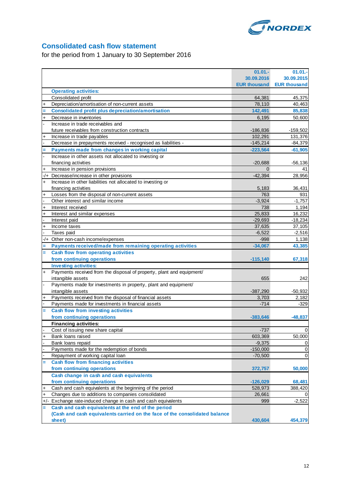

## **Consolidated cash flow statement**

for the period from 1 January to 30 September 2016

|           |                                                                            | $01.01 -$           | 01.01.              |
|-----------|----------------------------------------------------------------------------|---------------------|---------------------|
|           |                                                                            | 30.09.2016          | 30.09.2015          |
|           |                                                                            | <b>EUR thousand</b> | <b>EUR thousand</b> |
|           | <b>Operating activities:</b>                                               |                     |                     |
|           | Consolidated profit                                                        | 64,381              | 45,375              |
| +         | Depreciation/amortisation of non-current assets                            | 78,110              | 40,463              |
|           | <b>Consolidated profit plus depreciation/amortisation</b>                  | 142,491             | 85,838              |
| $\ddot{}$ | Decrease in inventories                                                    | 6,195               | 50,600              |
|           | Increase in trade receivables and                                          |                     |                     |
|           | future receivables from construction contracts                             | $-186,836$          | -159,502            |
| $\ddot{}$ | Increase in trade payables                                                 | 102,291             | 131,376             |
|           | Decrease in prepayments received - recognised as liabilities -             | $-145,214$          | $-84,379$           |
|           | Payments made from changes in working capital                              | $-223,564$          | $-61,905$           |
|           | Increase in other assets not allocated to investing or                     |                     |                     |
|           | financing activities                                                       | $-20,688$           | $-56,136$           |
| $\ddot{}$ | Increase in pension provisions                                             | 0                   | 41                  |
| -/+       | Decrease/increase in other provisions                                      | $-42,394$           | 28,956              |
| $\ddot{}$ | Increase in other liabilities not allocated to investing or                |                     |                     |
|           | financing activities                                                       | 5,183               | 36,431              |
| $\ddot{}$ | Losses from the disposal of non-current assets                             | 763                 | 931                 |
|           | Other interest and similar income                                          | $-3,924$            | $-1,757$            |
| $\ddot{}$ | Interest received                                                          | 738                 | 1,194               |
| $\ddot{}$ | Interest and similar expenses                                              | 25,833              | 16,232              |
|           | Interest paid                                                              | $-29,693$           | $-18,234$           |
| $\ddot{}$ | Income taxes                                                               | 37,635              | 37,105              |
|           | Taxes paid                                                                 | $-6,522$            | $-2,516$            |
| -/+       | Other non-cash income/expenses                                             | $-998$              | 1,138               |
| Ξ         | Payments received/made from remaining operating activities                 | $-34,067$           | 43,385              |
| $=$       | <b>Cash flow from operating activities</b>                                 |                     |                     |
|           | from continuing operations                                                 | $-115,140$          | 67,318              |
|           | <b>Investing activities:</b>                                               |                     |                     |
| $\ddot{}$ | Payments received from the disposal of property, plant and equipment/      |                     |                     |
|           | intangible assets                                                          | 655                 | 242                 |
|           | Payments made for investments in property, plant and equipment/            |                     |                     |
|           | intangible assets                                                          | $-387,290$          | $-50,932$           |
| $\ddot{}$ | Payments received from the disposal of financial assets                    | 3,703               | 2,182               |
|           | Payments made for investments in financial assets                          | $-714$              | $-329$              |
| Ξ         | <b>Cash flow from investing activities</b>                                 |                     |                     |
|           | from continuing operations                                                 | $-383,646$          | $-48,837$           |
|           | <b>Financing activities:</b>                                               |                     |                     |
|           | Cost of issuing new share capital                                          | $-737$              | $\mathbf 0$         |
| +         | Bank loans raised                                                          | 603,369             | 50,000              |
|           | Bank loans repaid                                                          | $-9,375$            | 0                   |
|           | Payments made for the redemption of bonds                                  | $-150,000$          | 0                   |
|           | Repayment of working capital loan                                          | $-70,500$           | $\mathbf 0$         |
|           | <b>Cash flow from financing activities</b>                                 |                     |                     |
|           | from continuing operations                                                 | 372,757             | 50,000              |
|           | Cash change in cash and cash equivalents                                   |                     |                     |
|           | from continuing operations                                                 | $-126,029$          | 68,481              |
| $\ddot{}$ | Cash and cash equivalents at the beginning of the period                   | 528,973             | 388,420             |
| $\ddot{}$ | Changes due to additions to companies consolidated                         | 26,661              | $\Omega$            |
|           | +/- Exchange rate-induced change in cash and cash equivalents              | 999                 | $-2,522$            |
| Ξ         | Cash and cash equivalents at the end of the period                         |                     |                     |
|           | (Cash and cash equivalents carried on the face of the consolidated balance |                     |                     |
|           | sheet)                                                                     | 430,604             | 454,379             |